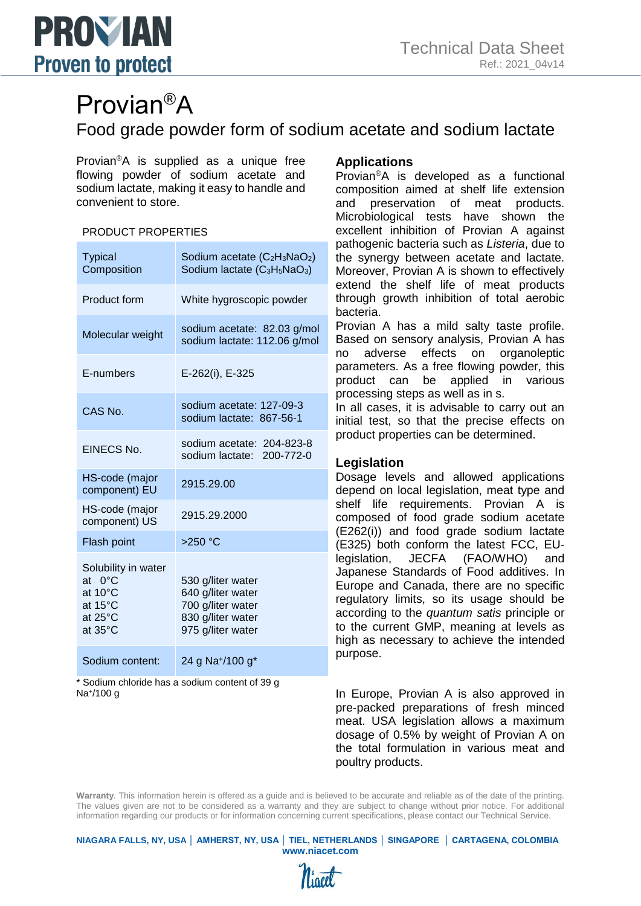

# Provian®A

Food grade powder form of sodium acetate and sodium lactate

Provian®A is supplied as a unique free flowing powder of sodium acetate and sodium lactate, making it easy to handle and convenient to store.

#### PRODUCT PROPERTIES

| <b>Typical</b><br>Composition                                                                    | Sodium acetate (C <sub>2</sub> H <sub>3</sub> NaO <sub>2</sub> )<br>Sodium lactate (C <sub>3</sub> H <sub>5</sub> NaO <sub>3</sub> ) |
|--------------------------------------------------------------------------------------------------|--------------------------------------------------------------------------------------------------------------------------------------|
| Product form                                                                                     | White hygroscopic powder                                                                                                             |
| Molecular weight                                                                                 | sodium acetate: 82.03 g/mol<br>sodium lactate: 112.06 g/mol                                                                          |
| E-numbers                                                                                        | E-262(i), E-325                                                                                                                      |
| CAS No.                                                                                          | sodium acetate: 127-09-3<br>sodium lactate: 867-56-1                                                                                 |
| <b>EINECS No.</b>                                                                                | sodium acetate: 204-823-8<br>sodium lactate:<br>200-772-0                                                                            |
| HS-code (major<br>component) EU                                                                  | 2915.29.00                                                                                                                           |
| HS-code (major<br>component) US                                                                  | 2915.29.2000                                                                                                                         |
| Flash point                                                                                      | $>250$ °C                                                                                                                            |
| Solubility in water<br>$0^{\circ}$ C<br>at<br>at $10^{\circ}$ C<br>at 15°C<br>at 25°C<br>at 35°C | 530 g/liter water<br>640 g/liter water<br>700 g/liter water<br>830 g/liter water<br>975 g/liter water                                |
| Sodium content:                                                                                  | 24 g Na <sup>+</sup> /100 g <sup>*</sup>                                                                                             |

\* Sodium chloride has a sodium content of 39 g Na<sup>+</sup> /100 g

## **Applications**

Provian®A is developed as a functional composition aimed at shelf life extension and preservation of meat products. Microbiological tests have shown the excellent inhibition of Provian A against pathogenic bacteria such as *Listeria*, due to the synergy between acetate and lactate. Moreover, Provian A is shown to effectively extend the shelf life of meat products through growth inhibition of total aerobic bacteria.

Provian A has a mild salty taste profile. Based on sensory analysis, Provian A has no adverse effects on organoleptic parameters. As a free flowing powder, this product can be applied in various processing steps as well as in s.

In all cases, it is advisable to carry out an initial test, so that the precise effects on product properties can be determined.

## **Legislation**

Dosage levels and allowed applications depend on local legislation, meat type and shelf life requirements. Provian A is composed of food grade sodium acetate (E262(i)) and food grade sodium lactate (E325) both conform the latest FCC, EUlegislation, JECFA (FAO/WHO) and Japanese Standards of Food additives. In Europe and Canada, there are no specific regulatory limits, so its usage should be according to the *quantum satis* principle or to the current GMP, meaning at levels as high as necessary to achieve the intended purpose.

In Europe, Provian A is also approved in pre-packed preparations of fresh minced meat. USA legislation allows a maximum dosage of 0.5% by weight of Provian A on the total formulation in various meat and poultry products.

**Warranty**. This information herein is offered as a guide and is believed to be accurate and reliable as of the date of the printing. The values given are not to be considered as a warranty and they are subject to change without prior notice. For additional information regarding our products or for information concerning current specifications, please contact our Technical Service.